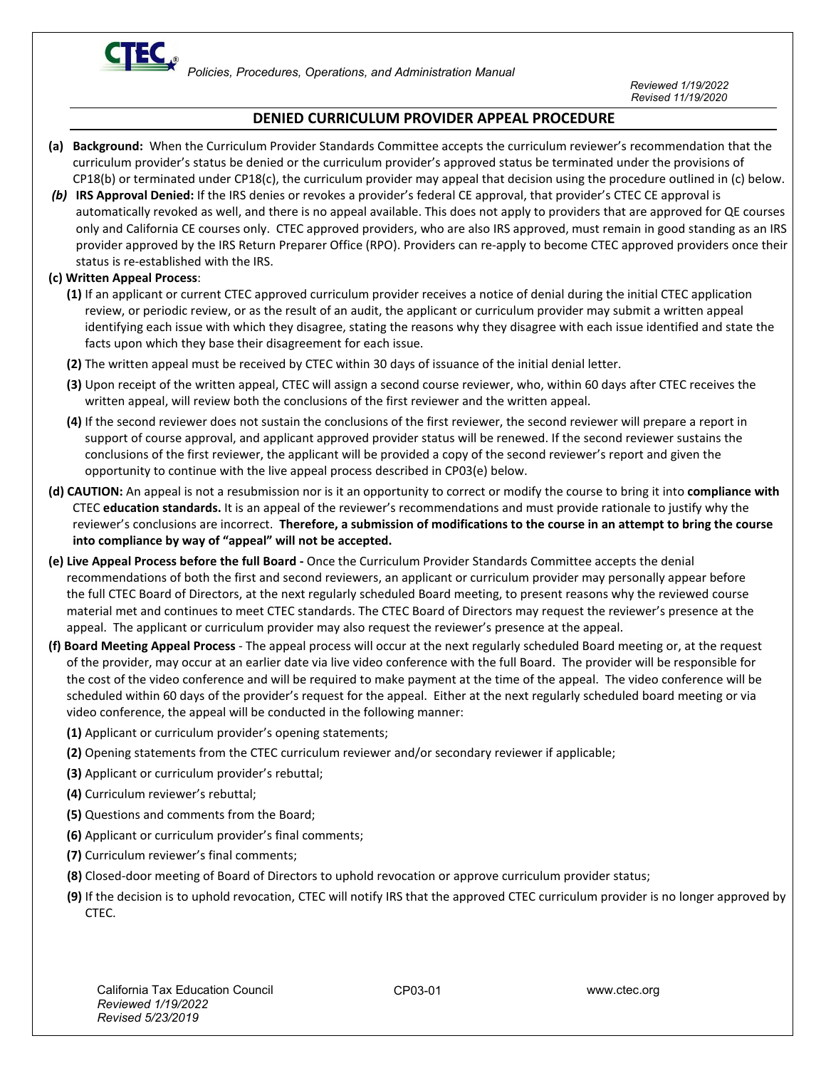

## **DENIED CURRICULUM PROVIDER APPEAL PROCEDURE**

- **(a) Background:** When the Curriculum Provider Standards Committee accepts the curriculum reviewer's recommendation that the curriculum provider's status be denied or the curriculum provider's approved status be terminated under the provisions of CP18(b) or terminated under CP18(c), the curriculum provider may appeal that decision using the procedure outlined in (c) below.
- *(b)* **IRS Approval Denied:** If the IRS denies or revokes a provider's federal CE approval, that provider's CTEC CE approval is automatically revoked as well, and there is no appeal available. This does not apply to providers that are approved for QE courses only and California CE courses only. CTEC approved providers, who are also IRS approved, must remain in good standing as an IRS provider approved by the IRS Return Preparer Office (RPO). Providers can re-apply to become CTEC approved providers once their status is re-established with the IRS.

## **(c) Written Appeal Process**:

- **(1)** If an applicant or current CTEC approved curriculum provider receives a notice of denial during the initial CTEC application review, or periodic review, or as the result of an audit, the applicant or curriculum provider may submit a written appeal identifying each issue with which they disagree, stating the reasons why they disagree with each issue identified and state the facts upon which they base their disagreement for each issue.
- **(2)** The written appeal must be received by CTEC within 30 days of issuance of the initial denial letter.
- **(3)** Upon receipt of the written appeal, CTEC will assign a second course reviewer, who, within 60 days after CTEC receives the written appeal, will review both the conclusions of the first reviewer and the written appeal.
- **(4)** If the second reviewer does not sustain the conclusions of the first reviewer, the second reviewer will prepare a report in support of course approval, and applicant approved provider status will be renewed. If the second reviewer sustains the conclusions of the first reviewer, the applicant will be provided a copy of the second reviewer's report and given the opportunity to continue with the live appeal process described in CP03(e) below.
- **(d) CAUTION:** An appeal is not a resubmission nor is it an opportunity to correct or modify the course to bring it into **compliance with**  CTEC **education standards.** It is an appeal of the reviewer's recommendations and must provide rationale to justify why the reviewer's conclusions are incorrect. **Therefore, a submission of modifications to the course in an attempt to bring the course into compliance by way of "appeal" will not be accepted.**
- **(e) Live Appeal Process before the full Board** Once the Curriculum Provider Standards Committee accepts the denial recommendations of both the first and second reviewers, an applicant or curriculum provider may personally appear before the full CTEC Board of Directors, at the next regularly scheduled Board meeting, to present reasons why the reviewed course material met and continues to meet CTEC standards. The CTEC Board of Directors may request the reviewer's presence at the appeal. The applicant or curriculum provider may also request the reviewer's presence at the appeal.
- **(f) Board Meeting Appeal Process** The appeal process will occur at the next regularly scheduled Board meeting or, at the request of the provider, may occur at an earlier date via live video conference with the full Board. The provider will be responsible for the cost of the video conference and will be required to make payment at the time of the appeal. The video conference will be scheduled within 60 days of the provider's request for the appeal. Either at the next regularly scheduled board meeting or via video conference, the appeal will be conducted in the following manner:
	- **(1)** Applicant or curriculum provider's opening statements;
	- **(2)** Opening statements from the CTEC curriculum reviewer and/or secondary reviewer if applicable;
	- **(3)** Applicant or curriculum provider's rebuttal;
	- **(4)** Curriculum reviewer's rebuttal;
	- **(5)** Questions and comments from the Board;
	- **(6)** Applicant or curriculum provider's final comments;
	- **(7)** Curriculum reviewer's final comments;
	- **(8)** Closed-door meeting of Board of Directors to uphold revocation or approve curriculum provider status;
	- **(9)** If the decision is to uphold revocation, CTEC will notify IRS that the approved CTEC curriculum provider is no longer approved by CTEC.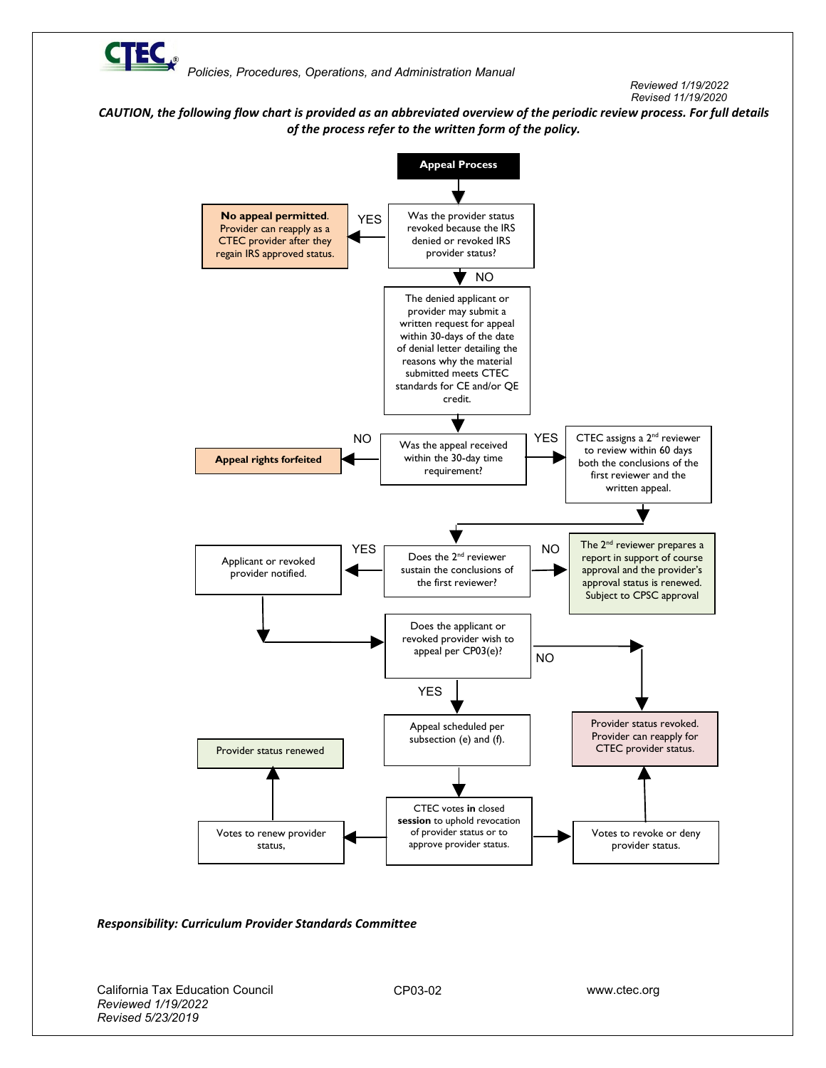

 *Policies, Procedures, Operations, and Administration Manual* 

*Reviewed 1/19/2022 Revised 11/19/2020*

*CAUTION, the following flow chart is provided as an abbreviated overview of the periodic review process. For full details of the process refer to the written form of the policy.*



## *Responsibility: Curriculum Provider Standards Committee*

California Tax Education Council www.ctec.org *Reviewed 1/19/2022 Revised 5/23/2019*

CP03-02